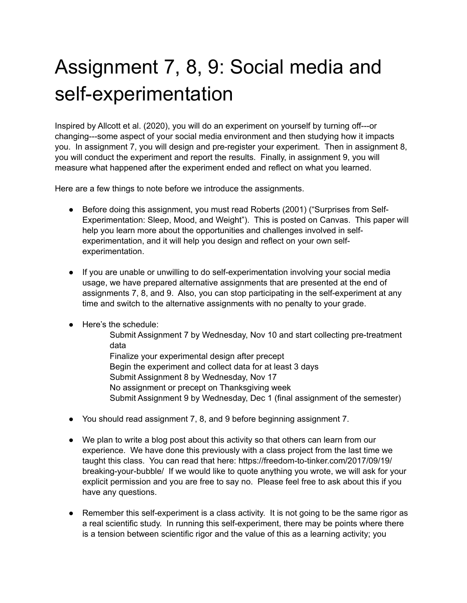## Assignment 7, 8, 9: Social media and self-experimentation

Inspired by Allcott et al. (2020), you will do an experiment on yourself by turning off---or changing---some aspect of your social media environment and then studying how it impacts you. In assignment 7, you will design and pre-register your experiment. Then in assignment 8, you will conduct the experiment and report the results. Finally, in assignment 9, you will measure what happened after the experiment ended and reflect on what you learned.

Here are a few things to note before we introduce the assignments.

- Before doing this assignment, you must read Roberts (2001) ("Surprises from Self-Experimentation: Sleep, Mood, and Weight"). This is posted on Canvas. This paper will help you learn more about the opportunities and challenges involved in selfexperimentation, and it will help you design and reflect on your own selfexperimentation.
- If you are unable or unwilling to do self-experimentation involving your social media usage, we have prepared alternative assignments that are presented at the end of assignments 7, 8, and 9. Also, you can stop participating in the self-experiment at any time and switch to the alternative assignments with no penalty to your grade.
- Here's the schedule:
	- Submit Assignment 7 by Wednesday, Nov 10 and start collecting pre-treatment data
	- Finalize your experimental design after precept Begin the experiment and collect data for at least 3 days Submit Assignment 8 by Wednesday, Nov 17 No assignment or precept on Thanksgiving week Submit Assignment 9 by Wednesday, Dec 1 (final assignment of the semester)
- You should read assignment 7, 8, and 9 before beginning assignment 7.
- We plan to write a blog post about this activity so that others can learn from our experience. We have done this previously with a class project from the last time we taught this class. You can read that here: https://freedom-to-tinker.com/2017/09/19/ breaking-your-bubble/ If we would like to quote anything you wrote, we will ask for your explicit permission and you are free to say no. Please feel free to ask about this if you have any questions.
- Remember this self-experiment is a class activity. It is not going to be the same rigor as a real scientific study. In running this self-experiment, there may be points where there is a tension between scientific rigor and the value of this as a learning activity; you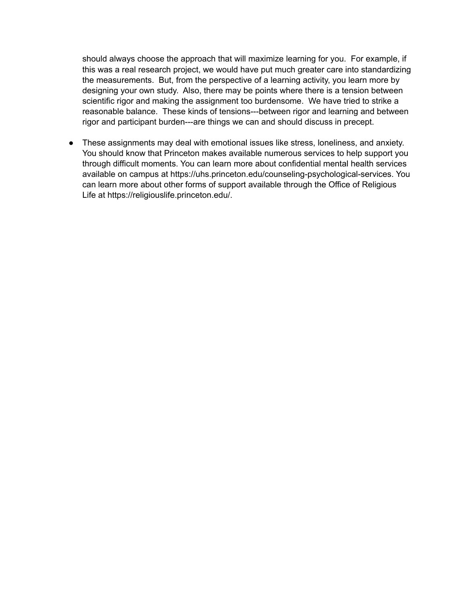should always choose the approach that will maximize learning for you. For example, if this was a real research project, we would have put much greater care into standardizing the measurements. But, from the perspective of a learning activity, you learn more by designing your own study. Also, there may be points where there is a tension between scientific rigor and making the assignment too burdensome. We have tried to strike a reasonable balance. These kinds of tensions---between rigor and learning and between rigor and participant burden---are things we can and should discuss in precept.

● These assignments may deal with emotional issues like stress, loneliness, and anxiety. You should know that Princeton makes available numerous services to help support you through difficult moments. You can learn more about confidential mental health services available on campus at https://uhs.princeton.edu/counseling-psychological-services. You can learn more about other forms of support available through the Office of Religious Life at https://religiouslife.princeton.edu/.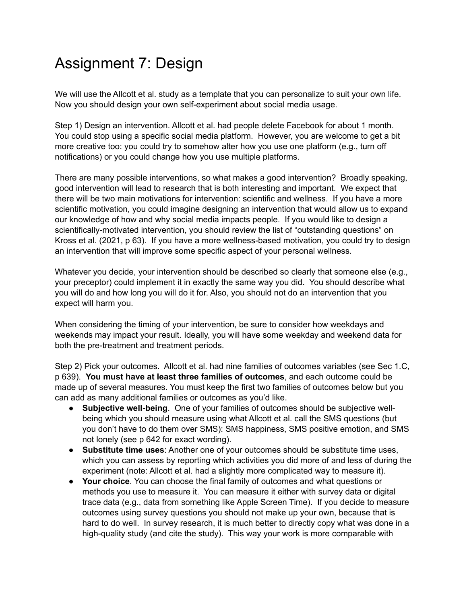## Assignment 7: Design

We will use the Allcott et al. study as a template that you can personalize to suit your own life. Now you should design your own self-experiment about social media usage.

Step 1) Design an intervention. Allcott et al. had people delete Facebook for about 1 month. You could stop using a specific social media platform. However, you are welcome to get a bit more creative too: you could try to somehow alter how you use one platform (e.g., turn off notifications) or you could change how you use multiple platforms.

There are many possible interventions, so what makes a good intervention? Broadly speaking, good intervention will lead to research that is both interesting and important. We expect that there will be two main motivations for intervention: scientific and wellness. If you have a more scientific motivation, you could imagine designing an intervention that would allow us to expand our knowledge of how and why social media impacts people. If you would like to design a scientifically-motivated intervention, you should review the list of "outstanding questions" on Kross et al. (2021, p 63). If you have a more wellness-based motivation, you could try to design an intervention that will improve some specific aspect of your personal wellness.

Whatever you decide, your intervention should be described so clearly that someone else (e.g., your preceptor) could implement it in exactly the same way you did. You should describe what you will do and how long you will do it for. Also, you should not do an intervention that you expect will harm you.

When considering the timing of your intervention, be sure to consider how weekdays and weekends may impact your result. Ideally, you will have some weekday and weekend data for both the pre-treatment and treatment periods.

Step 2) Pick your outcomes. Allcott et al. had nine families of outcomes variables (see Sec 1.C, p 639). **You must have at least three families of outcomes**, and each outcome could be made up of several measures. You must keep the first two families of outcomes below but you can add as many additional families or outcomes as you'd like.

- **Subjective well-being**. One of your families of outcomes should be subjective wellbeing which you should measure using what Allcott et al. call the SMS questions (but you don't have to do them over SMS): SMS happiness, SMS positive emotion, and SMS not lonely (see p 642 for exact wording).
- **Substitute time uses**: Another one of your outcomes should be substitute time uses, which you can assess by reporting which activities you did more of and less of during the experiment (note: Allcott et al. had a slightly more complicated way to measure it).
- **Your choice**. You can choose the final family of outcomes and what questions or methods you use to measure it. You can measure it either with survey data or digital trace data (e.g., data from something like Apple Screen Time). If you decide to measure outcomes using survey questions you should not make up your own, because that is hard to do well. In survey research, it is much better to directly copy what was done in a high-quality study (and cite the study). This way your work is more comparable with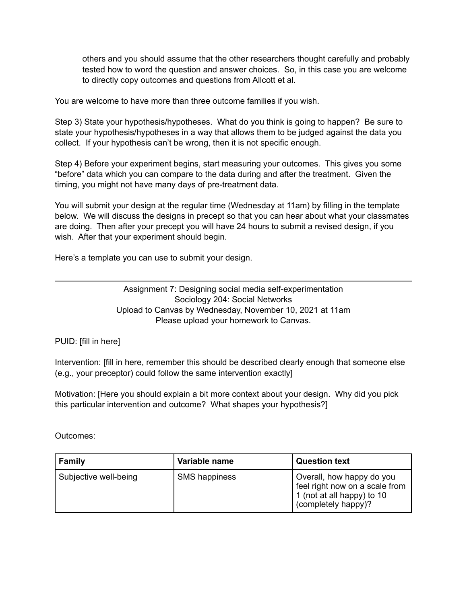others and you should assume that the other researchers thought carefully and probably tested how to word the question and answer choices. So, in this case you are welcome to directly copy outcomes and questions from Allcott et al.

You are welcome to have more than three outcome families if you wish.

Step 3) State your hypothesis/hypotheses. What do you think is going to happen? Be sure to state your hypothesis/hypotheses in a way that allows them to be judged against the data you collect. If your hypothesis can't be wrong, then it is not specific enough.

Step 4) Before your experiment begins, start measuring your outcomes. This gives you some "before" data which you can compare to the data during and after the treatment. Given the timing, you might not have many days of pre-treatment data.

You will submit your design at the regular time (Wednesday at 11am) by filling in the template below. We will discuss the designs in precept so that you can hear about what your classmates are doing. Then after your precept you will have 24 hours to submit a revised design, if you wish. After that your experiment should begin.

Here's a template you can use to submit your design.

Assignment 7: Designing social media self-experimentation Sociology 204: Social Networks Upload to Canvas by Wednesday, November 10, 2021 at 11am Please upload your homework to Canvas.

PUID: [fill in here]

Intervention: [fill in here, remember this should be described clearly enough that someone else (e.g., your preceptor) could follow the same intervention exactly]

Motivation: [Here you should explain a bit more context about your design. Why did you pick this particular intervention and outcome? What shapes your hypothesis?]

Outcomes:

| Family                | Variable name        | <b>Question text</b>                                                                                             |
|-----------------------|----------------------|------------------------------------------------------------------------------------------------------------------|
| Subjective well-being | <b>SMS happiness</b> | Overall, how happy do you<br>feel right now on a scale from<br>1 (not at all happy) to 10<br>(completely happy)? |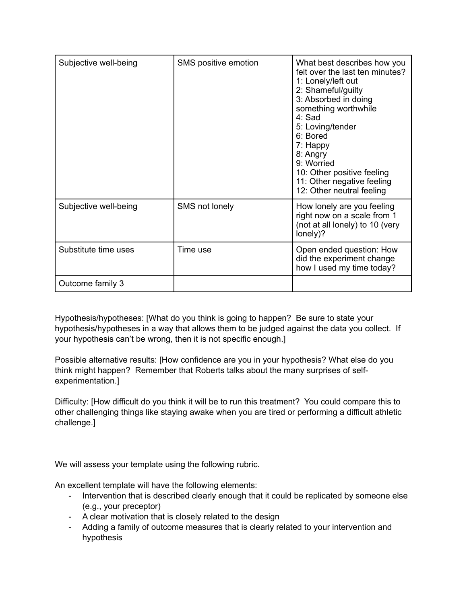| Subjective well-being | SMS positive emotion | What best describes how you<br>felt over the last ten minutes?<br>1: Lonely/left out<br>2: Shameful/guilty<br>3: Absorbed in doing<br>something worthwhile<br>$4:$ Sad<br>5: Loving/tender<br>6: Bored<br>7: Happy<br>8: Angry<br>9: Worried<br>10: Other positive feeling<br>11: Other negative feeling<br>12: Other neutral feeling |
|-----------------------|----------------------|---------------------------------------------------------------------------------------------------------------------------------------------------------------------------------------------------------------------------------------------------------------------------------------------------------------------------------------|
| Subjective well-being | SMS not lonely       | How lonely are you feeling<br>right now on a scale from 1<br>(not at all lonely) to 10 (very<br>lonely)?                                                                                                                                                                                                                              |
| Substitute time uses  | Time use             | Open ended question: How<br>did the experiment change<br>how I used my time today?                                                                                                                                                                                                                                                    |
| Outcome family 3      |                      |                                                                                                                                                                                                                                                                                                                                       |

Hypothesis/hypotheses: [What do you think is going to happen? Be sure to state your hypothesis/hypotheses in a way that allows them to be judged against the data you collect. If your hypothesis can't be wrong, then it is not specific enough.]

Possible alternative results: [How confidence are you in your hypothesis? What else do you think might happen? Remember that Roberts talks about the many surprises of selfexperimentation.]

Difficulty: [How difficult do you think it will be to run this treatment? You could compare this to other challenging things like staying awake when you are tired or performing a difficult athletic challenge.]

We will assess your template using the following rubric.

An excellent template will have the following elements:

- Intervention that is described clearly enough that it could be replicated by someone else (e.g., your preceptor)
- A clear motivation that is closely related to the design
- Adding a family of outcome measures that is clearly related to your intervention and hypothesis